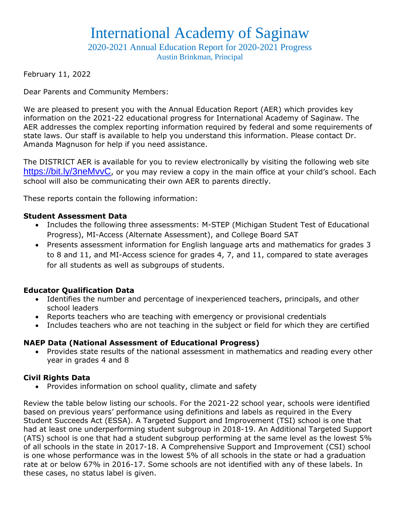## International Academy of Saginaw

2020-2021 Annual Education Report for 2020-2021 Progress

Austin Brinkman, Principal

February 11, 2022

Dear Parents and Community Members:

We are pleased to present you with the Annual Education Report (AER) which provides key information on the 2021-22 educational progress for International Academy of Saginaw. The AER addresses the complex reporting information required by federal and some requirements of state laws. Our staff is available to help you understand this information. Please contact Dr. Amanda Magnuson for help if you need assistance.

The DISTRICT AER is available for you to review electronically by visiting the following web site <https://bit.ly/3neMvvC>, or you may review a copy in the main office at your child's school. Each school will also be communicating their own AER to parents directly.

These reports contain the following information:

#### **Student Assessment Data**

- Includes the following three assessments: M-STEP (Michigan Student Test of Educational Progress), MI-Access (Alternate Assessment), and College Board SAT
- Presents assessment information for English language arts and mathematics for grades 3 to 8 and 11, and MI-Access science for grades 4, 7, and 11, compared to state averages for all students as well as subgroups of students.

### **Educator Qualification Data**

- Identifies the number and percentage of inexperienced teachers, principals, and other school leaders
- Reports teachers who are teaching with emergency or provisional credentials
- Includes teachers who are not teaching in the subject or field for which they are certified

## **NAEP Data (National Assessment of Educational Progress)**

 Provides state results of the national assessment in mathematics and reading every other year in grades 4 and 8

### **Civil Rights Data**

• Provides information on school quality, climate and safety

Review the table below listing our schools. For the 2021-22 school year, schools were identified based on previous years' performance using definitions and labels as required in the Every Student Succeeds Act (ESSA). A Targeted Support and Improvement (TSI) school is one that had at least one underperforming student subgroup in 2018-19. An Additional Targeted Support (ATS) school is one that had a student subgroup performing at the same level as the lowest 5% of all schools in the state in 2017-18. A Comprehensive Support and Improvement (CSI) school is one whose performance was in the lowest 5% of all schools in the state or had a graduation rate at or below 67% in 2016-17. Some schools are not identified with any of these labels. In these cases, no status label is given.